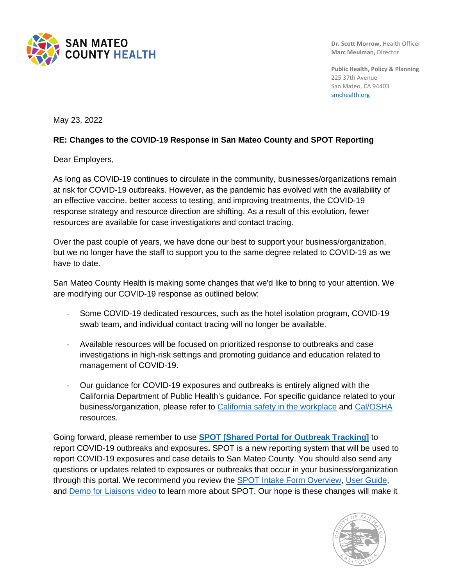

**Dr. Scott Morrow,** Health Officer **Marc Meulman,** Director

**Public Health, Policy & Planning** 225 37th Avenue San Mateo, CA 94403 [smchealth.org](https://www.smchealth.org/)

May 23, 2022

## **RE: Changes to the COVID-19 Response in San Mateo County and SPOT Reporting**

Dear Employers,

As long as COVID-19 continues to circulate in the community, businesses/organizations remain at risk for COVID-19 outbreaks. However, as the pandemic has evolved with the availability of an effective vaccine, better access to testing, and improving treatments, the COVID-19 response strategy and resource direction are shifting. As a result of this evolution, fewer resources are available for case investigations and contact tracing.

Over the past couple of years, we have done our best to support your business/organization, but we no longer have the staff to support you to the same degree related to COVID-19 as we have to date.

San Mateo County Health is making some changes that we'd like to bring to your attention. We are modifying our COVID-19 response as outlined below:

- Some COVID-19 dedicated resources, such as the hotel isolation program, COVID-19 swab team, and individual contact tracing will no longer be available.
- Available resources will be focused on prioritized response to outbreaks and case investigations in high-risk settings and promoting guidance and education related to management of COVID-19.
- Our guidance for COVID-19 exposures and outbreaks is entirely aligned with the California Department of Public Health's guidance. For specific guidance related to your business/organization, please refer to [California safety in the workplace](https://covid19.ca.gov/workers-and-businesses/) and [Cal/OSHA](https://www.dir.ca.gov/dosh/coronavirus/) resources.

Going forward, please remember to use **SPOT [Shared [Portal for Outbreak Tracking\]](https://protect-us.mimecast.com/s/s8YUCPNKzmulmqW1F6ZBYy)** to report COVID-19 outbreaks and exposures**.** SPOT is a new reporting system that will be used to report COVID-19 exposures and case details to San Mateo County. You should also send any questions or updates related to exposures or outbreaks that occur in your business/organization through this portal. We recommend you review the [SPOT Intake Form Overview,](https://protect-us.mimecast.com/s/jUkbCQWK6JsxqmO1FAYg9k) [User Guide,](https://protect-us.mimecast.com/s/xrdECR6KPYcVl8EDSQO2nv) and [Demo for Liaisons video](https://protect-us.mimecast.com/s/iB3qCVO27pfvK13nsEobwH) to learn more about SPOT. Our hope is these changes will make it